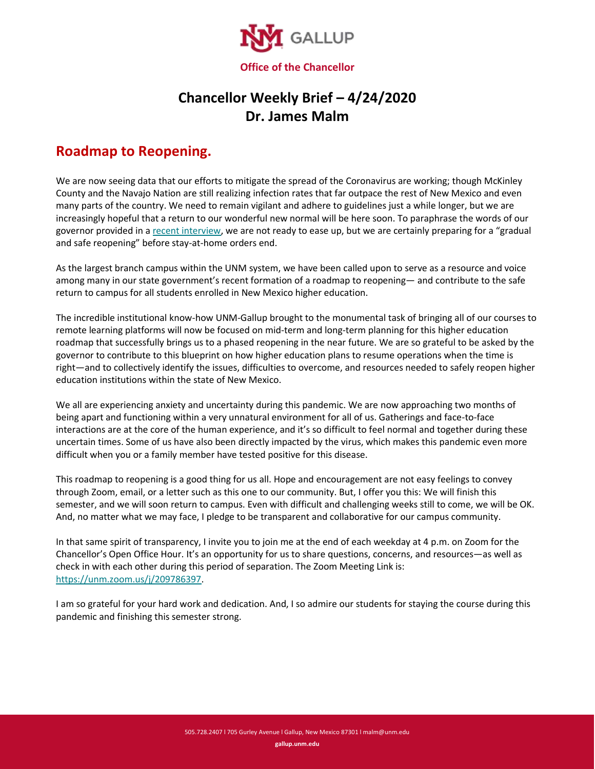

## **Chancellor Weekly Brief – 4/24/2020 Dr. James Malm**

## **Roadmap to Reopening.**

We are now seeing data that our efforts to mitigate the spread of the Coronavirus are working; though McKinley County and the Navajo Nation are still realizing infection rates that far outpace the rest of New Mexico and even many parts of the country. We need to remain vigilant and adhere to guidelines just a while longer, but we are increasingly hopeful that a return to our wonderful new normal will be here soon. To paraphrase the words of our governor provided in a [recent interview,](https://thehill.com/homenews/state-watch/494441-new-mexico-governor-extends-stay-at-home-order-were-not-ready-to-ease-up) we are not ready to ease up, but we are certainly preparing for a "gradual and safe reopening" before stay-at-home orders end.

As the largest branch campus within the UNM system, we have been called upon to serve as a resource and voice among many in our state government's recent formation of a roadmap to reopening— and contribute to the safe return to campus for all students enrolled in New Mexico higher education.

The incredible institutional know-how UNM-Gallup brought to the monumental task of bringing all of our courses to remote learning platforms will now be focused on mid-term and long-term planning for this higher education roadmap that successfully brings us to a phased reopening in the near future. We are so grateful to be asked by the governor to contribute to this blueprint on how higher education plans to resume operations when the time is right—and to collectively identify the issues, difficulties to overcome, and resources needed to safely reopen higher education institutions within the state of New Mexico.

We all are experiencing anxiety and uncertainty during this pandemic. We are now approaching two months of being apart and functioning within a very unnatural environment for all of us. Gatherings and face-to-face interactions are at the core of the human experience, and it's so difficult to feel normal and together during these uncertain times. Some of us have also been directly impacted by the virus, which makes this pandemic even more difficult when you or a family member have tested positive for this disease.

This roadmap to reopening is a good thing for us all. Hope and encouragement are not easy feelings to convey through Zoom, email, or a letter such as this one to our community. But, I offer you this: We will finish this semester, and we will soon return to campus. Even with difficult and challenging weeks still to come, we will be OK. And, no matter what we may face, I pledge to be transparent and collaborative for our campus community.

In that same spirit of transparency, I invite you to join me at the end of each weekday at 4 p.m. on Zoom for the Chancellor's Open Office Hour. It's an opportunity for us to share questions, concerns, and resources—as well as check in with each other during this period of separation. The Zoom Meeting Link is: [https://unm.zoom.us/j/209786397.](https://unm.zoom.us/j/209786397)

I am so grateful for your hard work and dedication. And, I so admire our students for staying the course during this pandemic and finishing this semester strong.